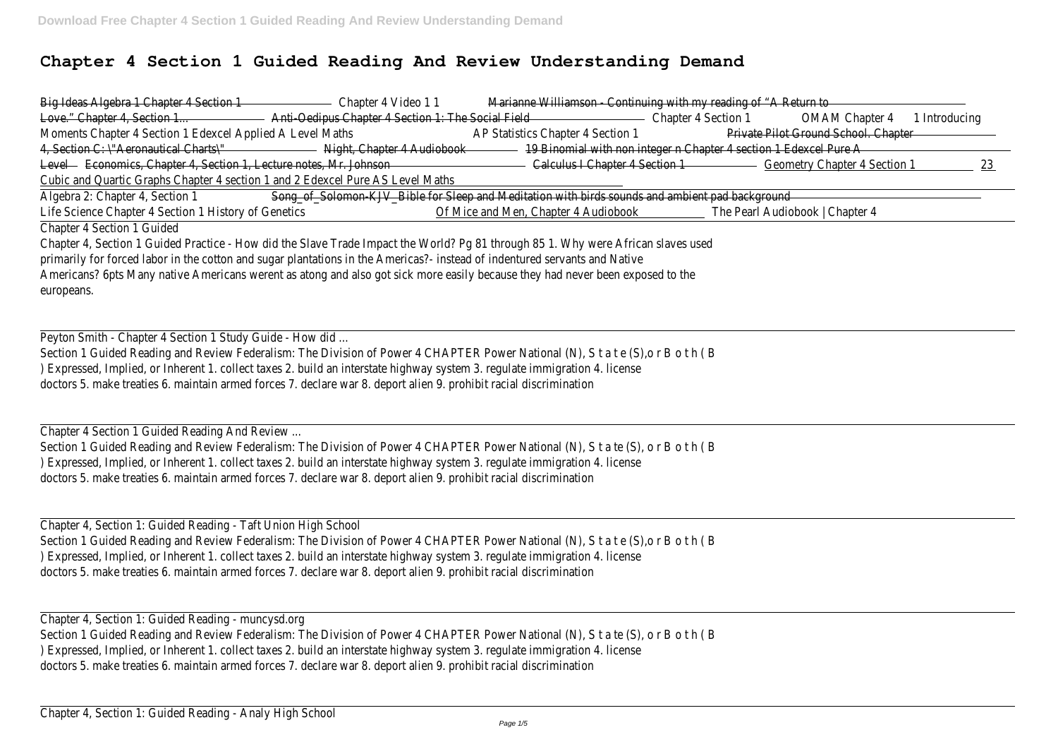## **Chapter 4 Section 1 Guided Reading And Review Understanding Demand**

| Big Ideas Algebra 1 Chapter 4 Section 1                                                                                           | Chapter 4 Video 11                                                                              | Marianne Williamson - Continuing with my reading of "A Return to |                                                                   |                                      |               |     |
|-----------------------------------------------------------------------------------------------------------------------------------|-------------------------------------------------------------------------------------------------|------------------------------------------------------------------|-------------------------------------------------------------------|--------------------------------------|---------------|-----|
| Love." Chapter 4, Section 1                                                                                                       | Anti-Oedipus Chapter 4 Section 1: The Social Field                                              |                                                                  | Chapter 4 Section 1                                               | <b>OMAM Chapter 4</b>                | 1 Introducing |     |
| Moments Chapter 4 Section 1 Edexcel Applied A Level Maths                                                                         |                                                                                                 | AP Statistics Chapter 4 Section 1                                |                                                                   | Private Pilot Ground School. Chapter |               |     |
| 4, Section C: \"Aeronautical Charts\"                                                                                             | Night, Chapter 4 Audiobook                                                                      |                                                                  | 19 Binomial with non integer n Chapter 4 section 1 Edexcel Pure A |                                      |               |     |
| Level - Economics, Chapter 4, Section 1, Lecture notes, Mr. Johnson                                                               |                                                                                                 | Calculus I Chapter 4 Section 1                                   |                                                                   | <b>Geometry Chapter 4 Section 1</b>  |               | 23. |
| Cubic and Quartic Graphs Chapter 4 section 1 and 2 Edexcel Pure AS Level Maths                                                    |                                                                                                 |                                                                  |                                                                   |                                      |               |     |
| Algebra 2: Chapter 4, Section 1                                                                                                   | Song_of_Solomon-KJV_Bible for Sleep and Meditation with birds sounds and ambient pad background |                                                                  |                                                                   |                                      |               |     |
| Life Science Chapter 4 Section 1 History of Genetics                                                                              |                                                                                                 | Of Mice and Men, Chapter 4 Audiobook                             |                                                                   | The Pearl Audiobook   Chapter 4      |               |     |
| Chapter 4 Section 1 Guided                                                                                                        |                                                                                                 |                                                                  |                                                                   |                                      |               |     |
| Chapter 4, Section 1 Guided Practice - How did the Slave Trade Impact the World? Pg 81 through 85 1. Why were African slaves used |                                                                                                 |                                                                  |                                                                   |                                      |               |     |
| primarily for forced labor in the cotton and sugar plantations in the Americas?- instead of indentured servants and Native        |                                                                                                 |                                                                  |                                                                   |                                      |               |     |
| Americans? 6pts Many native Americans werent as atong and also got sick more easily because they had never been exposed to the    |                                                                                                 |                                                                  |                                                                   |                                      |               |     |
| europeans.                                                                                                                        |                                                                                                 |                                                                  |                                                                   |                                      |               |     |
|                                                                                                                                   |                                                                                                 |                                                                  |                                                                   |                                      |               |     |
|                                                                                                                                   |                                                                                                 |                                                                  |                                                                   |                                      |               |     |
| Peyton Smith - Chapter 4 Section 1 Study Guide - How did                                                                          |                                                                                                 |                                                                  |                                                                   |                                      |               |     |
| Section 1 Guided Reading and Review Federalism: The Division of Power 4 CHAPTER Power National (N), S t a t e (S), o r B o t h (B |                                                                                                 |                                                                  |                                                                   |                                      |               |     |
| ) Expressed, Implied, or Inherent 1. collect taxes 2. build an interstate highway system 3. regulate immigration 4. license       |                                                                                                 |                                                                  |                                                                   |                                      |               |     |
| doctors 5. make treaties 6. maintain armed forces 7. declare war 8. deport alien 9. prohibit racial discrimination                |                                                                                                 |                                                                  |                                                                   |                                      |               |     |
|                                                                                                                                   |                                                                                                 |                                                                  |                                                                   |                                      |               |     |
| Chapter 4 Section 1 Guided Reading And Review                                                                                     |                                                                                                 |                                                                  |                                                                   |                                      |               |     |
| Section 1 Guided Reading and Review Federalism: The Division of Power 4 CHAPTER Power National (N), S t a te (S), o r B o t h (B  |                                                                                                 |                                                                  |                                                                   |                                      |               |     |
| ) Expressed, Implied, or Inherent 1. collect taxes 2. build an interstate highway system 3. regulate immigration 4. license       |                                                                                                 |                                                                  |                                                                   |                                      |               |     |
| doctors 5. make treaties 6. maintain armed forces 7. declare war 8. deport alien 9. prohibit racial discrimination                |                                                                                                 |                                                                  |                                                                   |                                      |               |     |
|                                                                                                                                   |                                                                                                 |                                                                  |                                                                   |                                      |               |     |
|                                                                                                                                   |                                                                                                 |                                                                  |                                                                   |                                      |               |     |
| Chapter 4, Section 1: Guided Reading - Taft Union High School                                                                     |                                                                                                 |                                                                  |                                                                   |                                      |               |     |
| Section 1 Guided Reading and Review Federalism: The Division of Power 4 CHAPTER Power National (N), S t a t e (S), o r B o t h (B |                                                                                                 |                                                                  |                                                                   |                                      |               |     |
| ) Expressed, Implied, or Inherent 1. collect taxes 2. build an interstate highway system 3. regulate immigration 4. license       |                                                                                                 |                                                                  |                                                                   |                                      |               |     |
| doctors 5. make treaties 6. maintain armed forces 7. declare war 8. deport alien 9. prohibit racial discrimination                |                                                                                                 |                                                                  |                                                                   |                                      |               |     |
|                                                                                                                                   |                                                                                                 |                                                                  |                                                                   |                                      |               |     |
|                                                                                                                                   |                                                                                                 |                                                                  |                                                                   |                                      |               |     |
| Chapter 4, Section 1: Guided Reading - muncysd.org                                                                                |                                                                                                 |                                                                  |                                                                   |                                      |               |     |
| Section 1 Guided Reading and Review Federalism: The Division of Power 4 CHAPTER Power National (N), S t a te (S), o r B o t h (B  |                                                                                                 |                                                                  |                                                                   |                                      |               |     |
| ) Expressed, Implied, or Inherent 1. collect taxes 2. build an interstate highway system 3. regulate immigration 4. license       |                                                                                                 |                                                                  |                                                                   |                                      |               |     |
| doctors 5. make treaties 6. maintain armed forces 7. declare war 8. deport alien 9. prohibit racial discrimination                |                                                                                                 |                                                                  |                                                                   |                                      |               |     |
|                                                                                                                                   |                                                                                                 |                                                                  |                                                                   |                                      |               |     |
|                                                                                                                                   |                                                                                                 |                                                                  |                                                                   |                                      |               |     |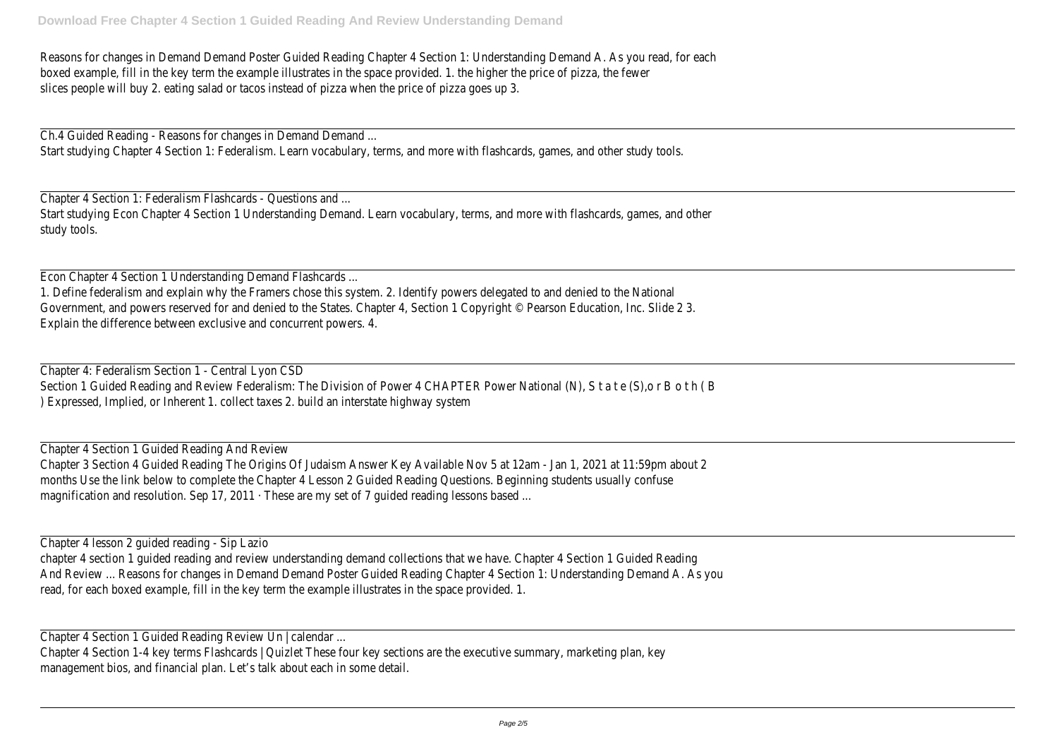Reasons for changes in Demand Demand Poster Guided Reading Chapter 4 Section 1: Understanding Demand A. As you read, for each boxed example, fill in the key term the example illustrates in the space provided. 1. the higher the price of pizza, the fewer slices people will buy 2. eating salad or tacos instead of pizza when the price of pizza goes up 3.

Ch.4 Guided Reading - Reasons for changes in Demand Demand ... Start studying Chapter 4 Section 1: Federalism. Learn vocabulary, terms, and more with flashcards, games, and other study tools.

Chapter 4 Section 1: Federalism Flashcards - Questions and ... Start studying Econ Chapter 4 Section 1 Understanding Demand. Learn vocabulary, terms, and more with flashcards, games, and other study tools.

Chapter 4 Section 1 Guided Reading And Review Chapter 3 Section 4 Guided Reading The Origins Of Judaism Answer Key Available Nov 5 at 12am - Jan 1, 2021 at 11:59pm about 2 months Use the link below to complete the Chapter 4 Lesson 2 Guided Reading Questions. Beginning students usually confuse magnification and resolution. Sep 17, 2011 · These are my set of 7 quided reading lessons based ...

Econ Chapter 4 Section 1 Understanding Demand Flashcards ... 1. Define federalism and explain why the Framers chose this system. 2. Identify powers delegated to and denied to the National Government, and powers reserved for and denied to the States. Chapter 4, Section 1 Copyright © Pearson Education, Inc. Slide 2 3. Explain the difference between exclusive and concurrent powers. 4.

Chapter 4: Federalism Section 1 - Central Lyon CSD Section 1 Guided Reading and Review Federalism: The Division of Power 4 CHAPTER Power National (N), S t a t e (S),o r B o t h ( B ) Expressed, Implied, or Inherent 1. collect taxes 2. build an interstate highway system

Chapter 4 lesson 2 guided reading - Sip Lazio chapter 4 section 1 guided reading and review understanding demand collections that we have. Chapter 4 Section 1 Guided Reading And Review ... Reasons for changes in Demand Demand Poster Guided Reading Chapter 4 Section 1: Understanding Demand A. As you read, for each boxed example, fill in the key term the example illustrates in the space provided. 1.

Chapter 4 Section 1 Guided Reading Review Un | calendar ...

Chapter 4 Section 1-4 key terms Flashcards | Quizlet These four key sections are the executive summary, marketing plan, key management bios, and financial plan. Let's talk about each in some detail.

| <u> 1989 - Johann Barn, mars ann an t-</u> |                                                                                           |  |  |
|--------------------------------------------|-------------------------------------------------------------------------------------------|--|--|
|                                            |                                                                                           |  |  |
|                                            |                                                                                           |  |  |
|                                            |                                                                                           |  |  |
|                                            |                                                                                           |  |  |
|                                            | the control of the control of the control of the control of the control of the control of |  |  |
|                                            |                                                                                           |  |  |
|                                            |                                                                                           |  |  |
|                                            |                                                                                           |  |  |
|                                            |                                                                                           |  |  |
|                                            |                                                                                           |  |  |
|                                            |                                                                                           |  |  |
|                                            |                                                                                           |  |  |
|                                            |                                                                                           |  |  |
|                                            |                                                                                           |  |  |
|                                            |                                                                                           |  |  |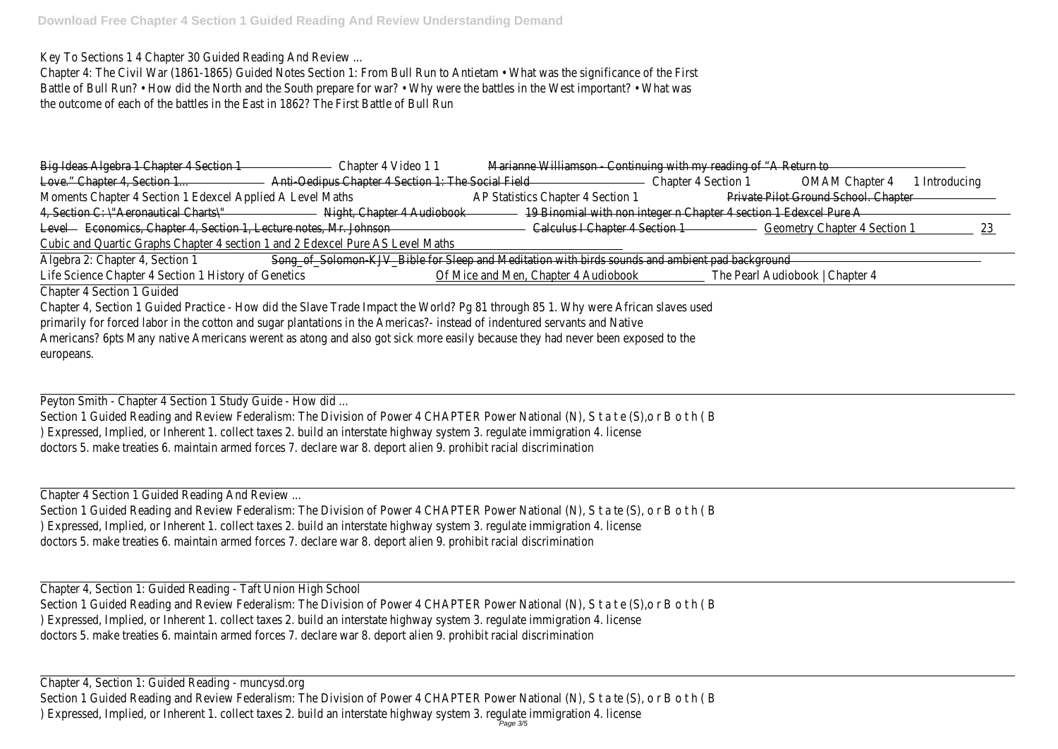Key To Sections 1 4 Chapter 30 Guided Reading And Review ...

Chapter 4: The Civil War (1861-1865) Guided Notes Section 1: From Bull Run to Antietam • What was the significance of the First Battle of Bull Run? • How did the North and the South prepare for war? • Why were the battles in the West important? • What was the outcome of each of the battles in the East in 1862? The First Battle of Bull Run

| Big Ideas Algebra 1 Chapter 4 Section 1                                        | Chapter 4 Video 11                                                                               |                                      | Marianne Williamson - Continuing with my reading of "A Return to  |                                      |                                     |             |
|--------------------------------------------------------------------------------|--------------------------------------------------------------------------------------------------|--------------------------------------|-------------------------------------------------------------------|--------------------------------------|-------------------------------------|-------------|
| Love." Chapter 4, Section 1                                                    | Anti-Oedipus Chapter 4 Section 1: The Social Field-                                              |                                      | Chapter 4 Section 1                                               |                                      | OMAM Chapter 4                      | Introducing |
| Moments Chapter 4 Section 1 Edexcel Applied A Level Maths                      |                                                                                                  | AP Statistics Chapter 4 Section 1    |                                                                   | Private Pilot Ground School. Chapter |                                     |             |
| 4, Section C: \"Aeronautical Charts\"                                          | Night, Chapter 4 Audiobook                                                                       |                                      | 19 Binomial with non integer n Chapter 4 section 1 Edexcel Pure A |                                      |                                     |             |
| Level - Economics, Chapter 4, Section 1, Lecture notes, Mr. Johnson            |                                                                                                  |                                      | Calculus I Chapter 4 Section 1                                    |                                      | <b>Geometry Chapter 4 Section 1</b> |             |
| Cubic and Quartic Graphs Chapter 4 section 1 and 2 Edexcel Pure AS Level Maths |                                                                                                  |                                      |                                                                   |                                      |                                     |             |
| Algebra 2: Chapter 4, Section 1                                                | Song_of_Solomon-KJV_Bible for Sleep and Meditation with birds sounds and ambient pad background- |                                      |                                                                   |                                      |                                     |             |
| Life Science Chapter 4 Section 1 History of Genetics                           |                                                                                                  | Of Mice and Men, Chapter 4 Audiobook |                                                                   | The Pearl Audiobook   Chapter 4      |                                     |             |

Chapter 4 Section 1 Guided

Chapter 4, Section 1 Guided Practice - How did the Slave Trade Impact the World? Pg 81 through 85 1. Why were African slaves used primarily for forced labor in the cotton and sugar plantations in the Americas?- instead of indentured servants and Native Americans? 6pts Many native Americans werent as atong and also got sick more easily because they had never been exposed to the europeans.

Peyton Smith - Chapter 4 Section 1 Study Guide - How did ...

Section 1 Guided Reading and Review Federalism: The Division of Power 4 CHAPTER Power National (N), S t a t e (S),o r B o t h ( B ) Expressed, Implied, or Inherent 1. collect taxes 2. build an interstate highway system 3. regulate immigration 4. license doctors 5. make treaties 6. maintain armed forces 7. declare war 8. deport alien 9. prohibit racial discrimination

Chapter 4 Section 1 Guided Reading And Review ...

Section 1 Guided Reading and Review Federalism: The Division of Power 4 CHAPTER Power National (N), S t a te (S), o r B o t h ( B ) Expressed, Implied, or Inherent 1. collect taxes 2. build an interstate highway system 3. regulate immigration 4. license doctors 5. make treaties 6. maintain armed forces 7. declare war 8. deport alien 9. prohibit racial discrimination

Chapter 4, Section 1: Guided Reading - Taft Union High School Section 1 Guided Reading and Review Federalism: The Division of Power 4 CHAPTER Power National (N), S t a t e (S),o r B o t h ( B ) Expressed, Implied, or Inherent 1. collect taxes 2. build an interstate highway system 3. regulate immigration 4. license doctors 5. make treaties 6. maintain armed forces 7. declare war 8. deport alien 9. prohibit racial discrimination

Chapter 4, Section 1: Guided Reading - muncysd.org Section 1 Guided Reading and Review Federalism: The Division of Power 4 CHAPTER Power National (N), S t a te (S), o r B o t h ( B ) Expressed, Implied, or Inherent 1. collect taxes 2. build an interstate highway system 3. regulate immigration 4. license Page 3/5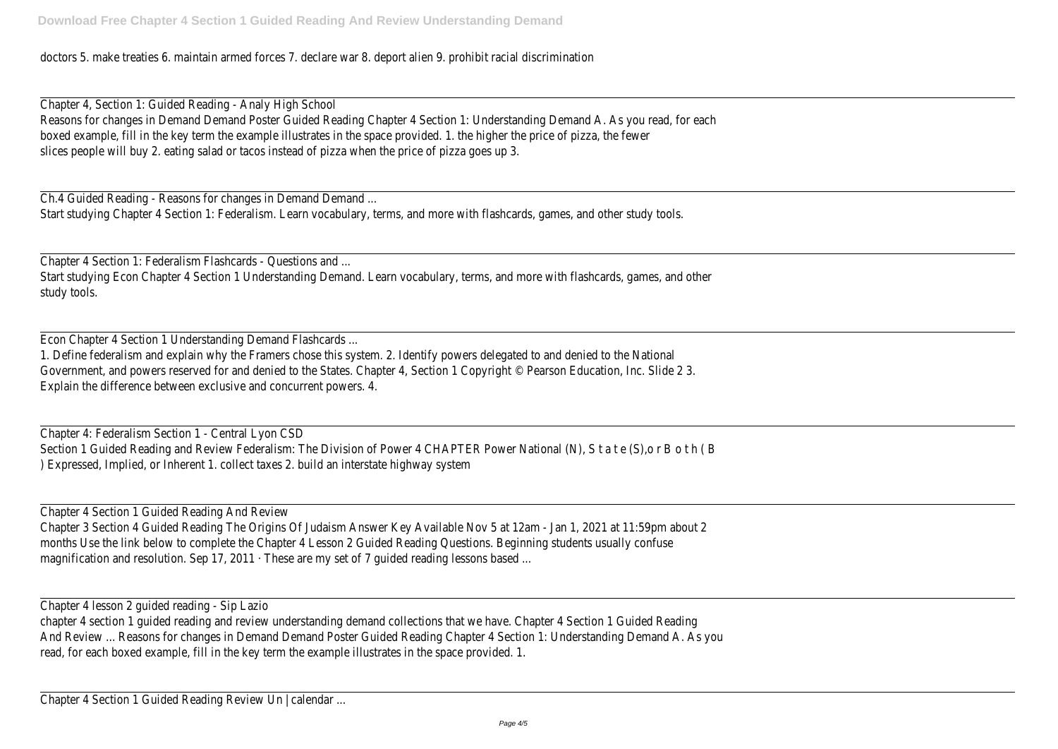doctors 5. make treaties 6. maintain armed forces 7. declare war 8. deport alien 9. prohibit racial discrimination

Ch.4 Guided Reading - Reasons for changes in Demand Demand ... Start studying Chapter 4 Section 1: Federalism. Learn vocabulary, terms, and more with flashcards, games, and other study tools.

Chapter 4, Section 1: Guided Reading - Analy High School Reasons for changes in Demand Demand Poster Guided Reading Chapter 4 Section 1: Understanding Demand A. As you read, for each boxed example, fill in the key term the example illustrates in the space provided. 1. the higher the price of pizza, the fewer slices people will buy 2. eating salad or tacos instead of pizza when the price of pizza goes up 3.

Chapter 4 Section 1 Guided Reading And Review Chapter 3 Section 4 Guided Reading The Origins Of Judaism Answer Key Available Nov 5 at 12am - Jan 1, 2021 at 11:59pm about 2 months Use the link below to complete the Chapter 4 Lesson 2 Guided Reading Questions. Beginning students usually confuse magnification and resolution. Sep 17, 2011 · These are my set of 7 guided reading lessons based ...

Chapter 4 Section 1: Federalism Flashcards - Questions and ... Start studying Econ Chapter 4 Section 1 Understanding Demand. Learn vocabulary, terms, and more with flashcards, games, and other study tools.

Econ Chapter 4 Section 1 Understanding Demand Flashcards ...

1. Define federalism and explain why the Framers chose this system. 2. Identify powers delegated to and denied to the National Government, and powers reserved for and denied to the States. Chapter 4, Section 1 Copyright © Pearson Education, Inc. Slide 2 3 Explain the difference between exclusive and concurrent powers. 4.

Chapter 4: Federalism Section 1 - Central Lyon CSD Section 1 Guided Reading and Review Federalism: The Division of Power 4 CHAPTER Power National (N), S t a t e (S),o r B o t h ( B ) Expressed, Implied, or Inherent 1. collect taxes 2. build an interstate highway system

Chapter 4 lesson 2 guided reading - Sip Lazio

chapter 4 section 1 guided reading and review understanding demand collections that we have. Chapter 4 Section 1 Guided Reading And Review ... Reasons for changes in Demand Demand Poster Guided Reading Chapter 4 Section 1: Understanding Demand A. As you read, for each boxed example, fill in the key term the example illustrates in the space provided. 1.